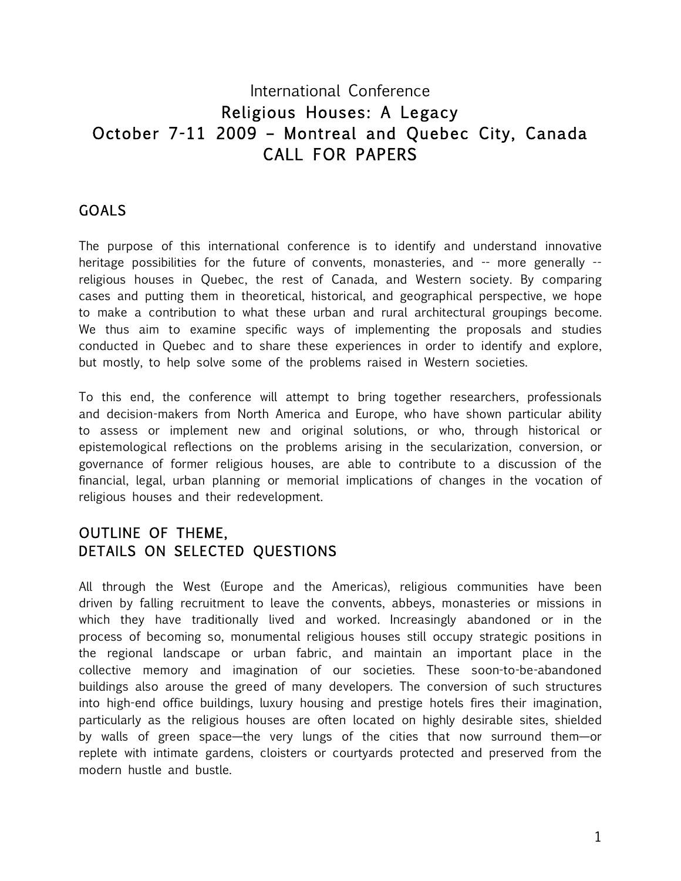# International Conference Religious Houses: A Legacy October 7-11 2009 - Montreal and Quebec City, Canada CALL FOR PAPERS

## **GOALS**

The purpose of this international conference is to identify and understand innovative heritage possibilities for the future of convents, monasteries, and -- more generally -religious houses in Quebec, the rest of Canada, and Western society. By comparing cases and putting them in theoretical, historical, and geographical perspective, we hope to make a contribution to what these urban and rural architectural groupings become. We thus aim to examine specific ways of implementing the proposals and studies conducted in Quebec and to share these experiences in order to identify and explore, but mostly, to help solve some of the problems raised in Western societies.

To this end, the conference will attempt to bring together researchers, professionals and decision-makers from North America and Europe, who have shown particular ability to assess or implement new and original solutions, or who, through historical or epistemological reflections on the problems arising in the secularization, conversion, or governance of former religious houses, are able to contribute to a discussion of the financial, legal, urban planning or memorial implications of changes in the vocation of religious houses and their redevelopment.

## OUTLINE OF THEME, DETAILS ON SELECTED QUESTIONS

All through the West (Europe and the Americas), religious communities have been driven by falling recruitment to leave the convents, abbeys, monasteries or missions in which they have traditionally lived and worked. Increasingly abandoned or in the process of becoming so, monumental religious houses still occupy strategic positions in the regional landscape or urban fabric, and maintain an important place in the collective memory and imagination of our societies. These soon-to-be-abandoned buildings also arouse the greed of many developers. The conversion of such structures into high-end office buildings, luxury housing and prestige hotels fires their imagination, particularly as the religious houses are often located on highly desirable sites, shielded by walls of green space—the very lungs of the cities that now surround them—or replete with intimate gardens, cloisters or courtyards protected and preserved from the modern hustle and bustle.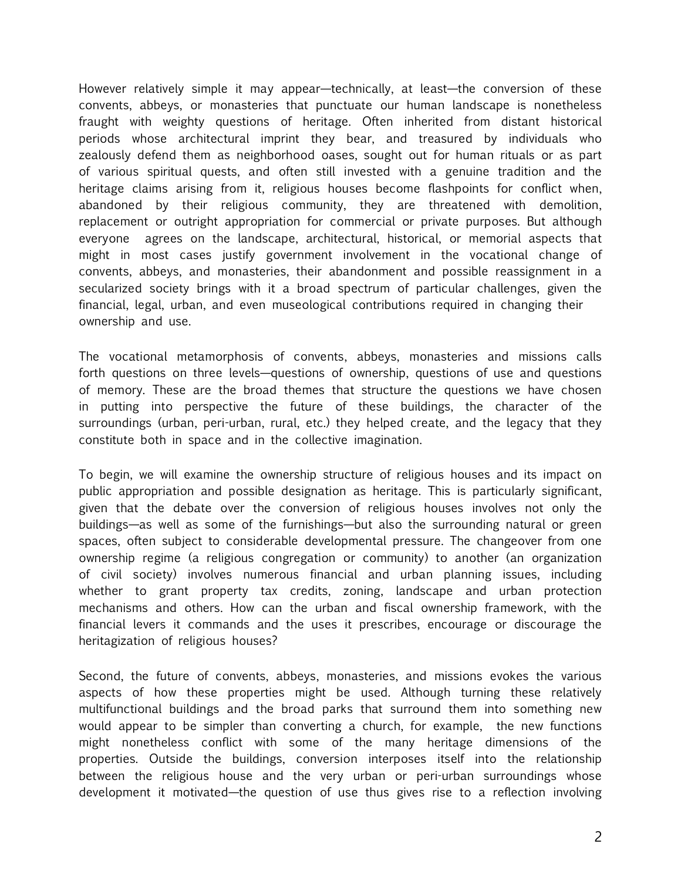However relatively simple it may appear—technically, at least—the conversion of these convents, abbeys, or monasteries that punctuate our human landscape is nonetheless fraught with weighty questions of heritage. Often inherited from distant historical periods whose architectural imprint they bear, and treasured by individuals who zealously defend them as neighborhood oases, sought out for human rituals or as part of various spiritual quests, and often still invested with a genuine tradition and the heritage claims arising from it, religious houses become flashpoints for conflict when, abandoned by their religious community, they are threatened with demolition, replacement or outright appropriation for commercial or private purposes. But although everyone agrees on the landscape, architectural, historical, or memorial aspects that might in most cases justify government involvement in the vocational change of convents, abbeys, and monasteries, their abandonment and possible reassignment in a secularized society brings with it a broad spectrum of particular challenges, given the financial, legal, urban, and even museological contributions required in changing their ownership and use.

The vocational metamorphosis of convents, abbeys, monasteries and missions calls forth questions on three levels—questions of ownership, questions of use and questions of memory. These are the broad themes that structure the questions we have chosen in putting into perspective the future of these buildings, the character of the surroundings (urban, peri-urban, rural, etc.) they helped create, and the legacy that they constitute both in space and in the collective imagination.

To begin, we will examine the ownership structure of religious houses and its impact on public appropriation and possible designation as heritage. This is particularly significant, given that the debate over the conversion of religious houses involves not only the buildings—as well as some of the furnishings—but also the surrounding natural or green spaces, often subject to considerable developmental pressure. The changeover from one ownership regime (a religious congregation or community) to another (an organization of civil society) involves numerous financial and urban planning issues, including whether to grant property tax credits, zoning, landscape and urban protection mechanisms and others. How can the urban and fiscal ownership framework, with the financial levers it commands and the uses it prescribes, encourage or discourage the heritagization of religious houses?

Second, the future of convents, abbeys, monasteries, and missions evokes the various aspects of how these properties might be used. Although turning these relatively multifunctional buildings and the broad parks that surround them into something new would appear to be simpler than converting a church, for example, the new functions might nonetheless conflict with some of the many heritage dimensions of the properties. Outside the buildings, conversion interposes itself into the relationship between the religious house and the very urban or peri-urban surroundings whose development it motivated—the question of use thus gives rise to a reflection involving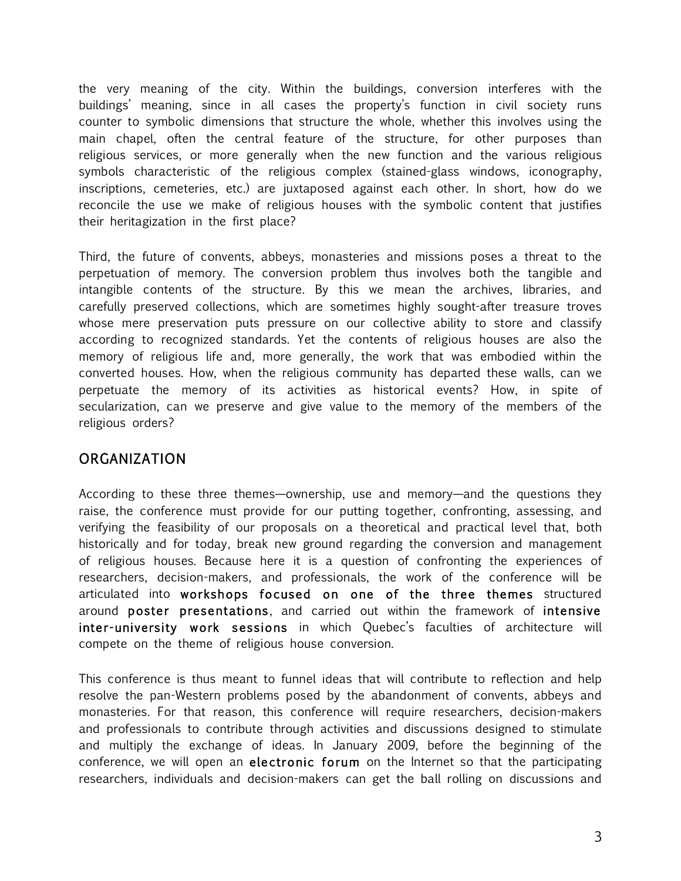the very meaning of the city. Within the buildings, conversion interferes with the buildings' meaning, since in all cases the property's function in civil society runs counter to symbolic dimensions that structure the whole, whether this involves using the main chapel, often the central feature of the structure, for other purposes than religious services, or more generally when the new function and the various religious symbols characteristic of the religious complex (stained-glass windows, iconography, inscriptions, cemeteries, etc.) are juxtaposed against each other. In short, how do we reconcile the use we make of religious houses with the symbolic content that justifies their heritagization in the first place?

Third, the future of convents, abbeys, monasteries and missions poses a threat to the perpetuation of memory. The conversion problem thus involves both the tangible and intangible contents of the structure. By this we mean the archives, libraries, and carefully preserved collections, which are sometimes highly sought-after treasure troves whose mere preservation puts pressure on our collective ability to store and classify according to recognized standards. Yet the contents of religious houses are also the memory of religious life and, more generally, the work that was embodied within the converted houses. How, when the religious community has departed these walls, can we perpetuate the memory of its activities as historical events? How, in spite of secularization, can we preserve and give value to the memory of the members of the religious orders?

## ORGANIZATION

According to these three themes—ownership, use and memory—and the questions they raise, the conference must provide for our putting together, confronting, assessing, and verifying the feasibility of our proposals on a theoretical and practical level that, both historically and for today, break new ground regarding the conversion and management of religious houses. Because here it is a question of confronting the experiences of researchers, decision-makers, and professionals, the work of the conference will be articulated into workshops focused on one of the three themes structured around poster presentations, and carried out within the framework of intensive inter-university work sessions in which Quebec's faculties of architecture will compete on the theme of religious house conversion.

This conference is thus meant to funnel ideas that will contribute to reflection and help resolve the pan-Western problems posed by the abandonment of convents, abbeys and monasteries. For that reason, this conference will require researchers, decision-makers and professionals to contribute through activities and discussions designed to stimulate and multiply the exchange of ideas. In January 2009, before the beginning of the conference, we will open an electronic forum on the Internet so that the participating researchers, individuals and decision-makers can get the ball rolling on discussions and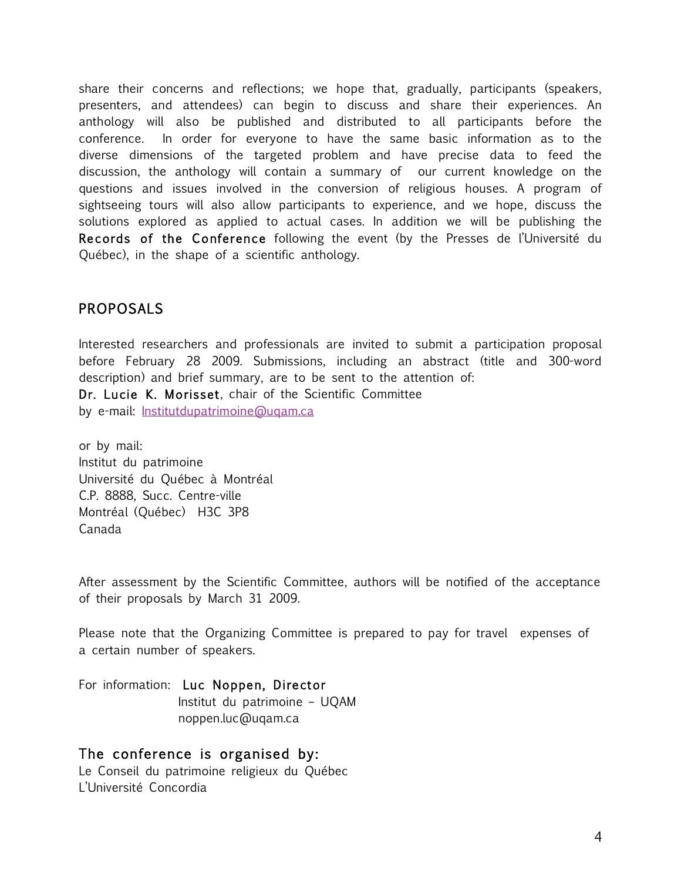share their concerns and reflections; we hope that, gradually, participants (speakers, presenters, and attendees) can begin to discuss and share their experiences. An anthology will also be published and distributed to all participants before the conference. In order for everyone to have the same basic information as to the diverse dimensions of the targeted problem and have precise data to feed the discussion, the anthology will contain a summary of our current knowledge on the questions and issues involved in the conversion of religious houses. A program of sightseeing tours will also allow participants to experience, and we hope, discuss the solutions explored as applied to actual cases. In addition we will be publishing the Records of the Conference following the event (by the Presses de l'Université du Québec), in the shape of a scientific anthology.

## **PROPOSALS**

Interested researchers and professionals are invited to submit a participation proposal before February 28 2009. Submissions, including an abstract (title and 300-word description) and brief summary, are to be sent to the attention of: Dr. Lucie K. Morisset, chair of the Scientific Committee by e-mail: **Institutdupatrimoine@ugam.ca** 

or by mail: Institut du patrimoine Université du Québec à Montréal C.P. 8888, Succ. Centre-ville Montréal (Québec) H3C 3P8 Canada

After assessment by the Scientific Committee, authors will be notified of the acceptance of their proposals by March 31 2009.

Please note that the Organizing Committee is prepared to pay for travel expenses of a certain number of speakers.

For information: Luc Noppen, Director Institut du patrimoine – UQAM noppen.luc@uqam.ca

#### The conference is organised by: Le Conseil du patrimoine religieux du Québec

L'Université Concordia